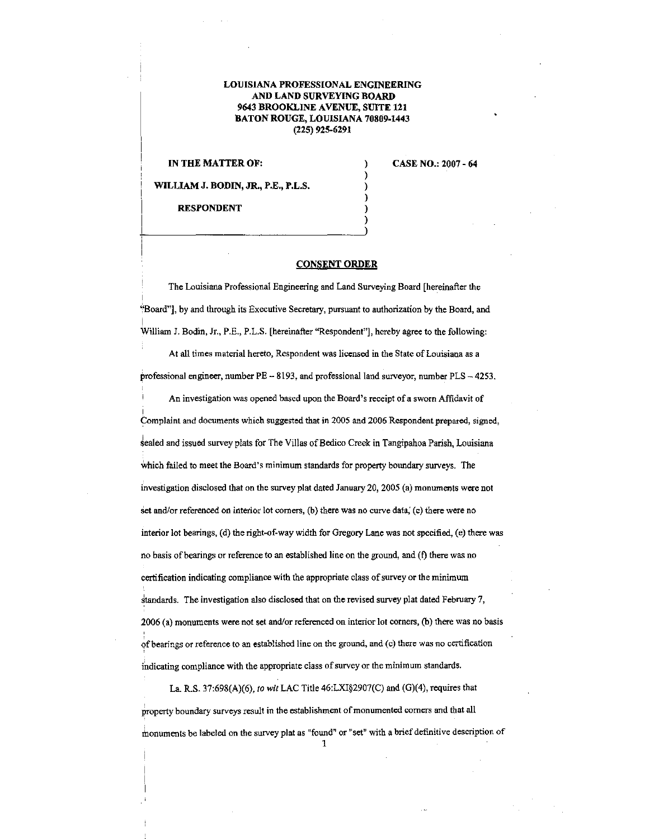## LOUISIANA PROFESSIONAL ENGINEERING AND LAND SURVEYING BOARD 9643 BROOKLINE A VENUE, SUITE 121 BATON ROUGE, LOUISIANA 70809-1443 (225) 925-6291

IN THE MATTER OF:

CASE NO.: 2007- 64

WILLIAM J. BODIN, JR., P.E., P.L.S.

RESPONDENT

## CONSENT ORDER

) ) ) ) ) )

The Louisiana Professional Engineering and Land Surveying Board [hereinafter the ~'Board"], by and through its Executive Secretary, pursuant to authorization by the Board, and |<br>William J. Bodin, Jr., P.E., P.L.S. [hereinafter "Respondent"], hereby agree to the following:

At all times material hereto, Respondent was licensed in the State of Louisiana as a professional engineer, number PE - 8193, and professional land surveyor, number PLS - 4253.

An investigation was opened based upon the Board's receipt of a sworn Affidavit of <u>!</u><br>Complaint and documents which suggested that in 2005 and 2006 Respondent prepared, signed, sealed and issued survey plats for The Villas of Bedico Creek in Tangipahoa Parish, Louisiana Which failed to meet the Board's minimum standards for property boundary surveys. The investigation disclosed that on the survey plat dated January 20, 2005 (a) monuments were not set and/or referenced on interior lot corners, (b) there was no curve data, (c) there were no interior lot bearings, (d) the right-of-way width for Gregory Lane was not specified, (e) there was no basis of bearings or reference to an established line on the ground, and (f) there was no certification indicating compliance with the appropriate class of survey or the minimum standards. The investigation also disclosed that on the revised survey plat dated February 7, 2006 (a) monuments were not set and/or referenced on interior lot comers, (b) there was no basis 9fbearings or reference to an established line on the ground, and·(c) there was no certification indicating compliance with the appropriate class of survey or the minimum standards.

La. R.S. 37:698(A)(6), *to wit* LAC Title 46:LXI§2907(C) and (G)(4), requires that property boundary surveys result in the establishment of monumented corners and that all thonuments be labeled on the survey plat as "found" or "set" with a brief definitive description of 1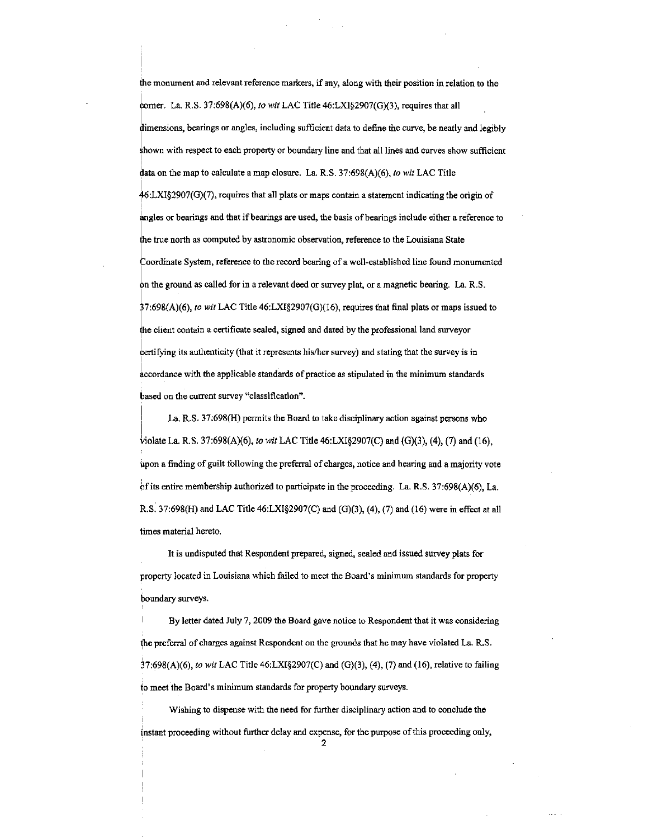the monument and relevant reference markers, if any, along with their position in relation to the horner. La. R.S. 37:698(A)(6), *to wit* LAC Title 46:LXI§2907(G)(3), requires that all dimensions, bearings or angles, including sufficient data to define the curve, be neatly and legibly shown with respect to each property or boundary line and that all lines and curves show sufficient ! data on the map to calculate a map closure. La. R.S. 37:698(A)(6), *to wit* LAC Title 46:LXI§2907(G)(7), requires that all plats or maps contain a statement indicating the origin of angles or bearings and that if bearings are used, the basis of bearings include either a reference to the true north as computed by astronomic observation, reference to the Louisiana State Coordinate System, reference to the record bearing of a well-established line found monumented on the ground as called for in a relevant deed or survey plat, or a magnetic bearing. La. R.S. I 37:698(A)(6), *to wit* LAC Title 46:LXI§2907(G)(I6), requires that final plats or maps issued to the client contain a certificate sealed, signed and dated by the professional land surveyor certifying its authenticity (that it represents his/her survey) and stating that the survey is in I accordance with the applicable standards of practice as stipulated in the minimum standards based on the current survey "classification".

I |<br>Violate La. R.S. 37:698(A)(6), *to wit* LAC Title 46:LXI§2907(C) and (G)(3), (4), (7) and (16), La. R.S. 37:698(H) permits the Board to take disciplinary action against persons who upon a finding of guilt following the preferral of charges, notice and hearing and a majority vote of its entire membership authorized to participate in the proceeding. La. R.S.  $37:698(A)(6)$ , La. R.S. 37:698(H) and LAC Title  $46: LXI\$ 2907(C) and (G)(3), (4), (7) and (16) were in effect at all times material hereto.

It is undisputed that Respondent prepared, signed, sealed and issued survey plats for property located in Louisiana which failed to meet the Board's minimum standards for property boundary surveys.

By letter dated July 7, 2009 the Board gave notice to Respondent that it was considering the preferral of charges against Respondent on the grounds that he may have violated La. R.S. 37:698(A)(6), *to wit* LAC Title 46:LXI§2907(C) and (G)(3), (4), (7) and (16), relative to failing to meet the Board's minimum standards for property boundary surveys.

Wishing to dispense with the need for further disciplinary action and to conclude the instant proceeding without further delay and expense, for the purpose of this proceeding only, 2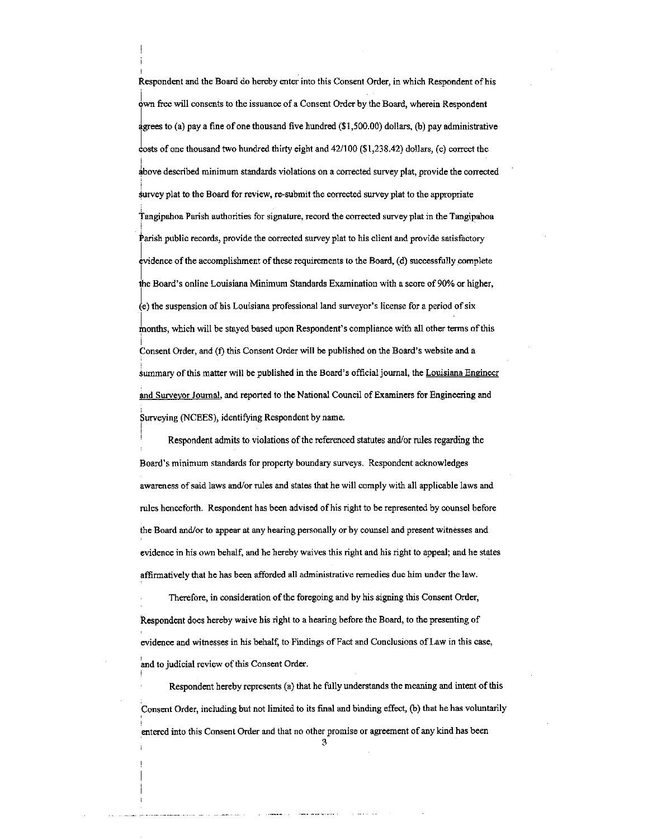Respondent and the Board do hereby enter into this Consent Order, in which Respondent of his lwn free will consents to the issuance of a Consent Order by the Board, wherein Respondent agrees to (a) pay a fine of one thousand five hundred (\$1,500.00) dollars, (b) pay administrative costs of one thousand two hundred thirty eight and  $42/100$  (\$1,238.42) dollars, (c) correct the I above described minimum standards violations on a corrected survey plat, provide the corrected Survey plat to the Board for review, re-submit the corrected survey plat to the appropriate Tangipahoa Parish authorities for signature, record the corrected survey plat in the Tangipahoa Parish public records, provide the corrected survey plat to his client and provide satisfactory  $e$ vidence of the accomplishment of these requirements to the Board,  $(d)$  successfully complete the Board's online Louisiana Minimum Standards Examination with a score of 90% or higher,  $\stackrel{(e)}{\leftarrow}$  the suspension of his Louisiana professional land surveyor's license for a period of six months, which will be stayed based upon Respondent's compliance with all other terms of this |<br>Consent Order, and (f) this Consent Order will be published on the Board's website and a summary of this matter will be published in the Board's official journal, the Louisiana Engineer and Surveyor Journal, and reported to the National Council of Examiners for Engineering and Surveying (NCEES), identifying Respondent by name.

Respondent admits to violations of the referenced statutes and/or rules regarding the Board's minimum standards for property boundary surveys. Respondent acknowledges awareness of said laws and/or rules and states that he wil1 comply with all applicable Jaws and rules henceforth. Respondent has been advised of his right to be represented by counsel before the Board and/or to appear at any hearing persona11y or by counsel and present witnesses and evidence in his own behalf, and he hereby waives this right and his right to appeal; and he states affirmatively that he has been afforded all administrative remedies due him under the law.

I

Therefore, in consideration of the foregoing and by his signing this Consent Order, Respondent does hereby waive his right to a hearing before the Board, to the presenting of evidence and witnesses in his behalf, to Findings of Fact and Conclusions of Law in this case, and to judicial review of this Consent Order.

Respondent hereby represents (a) that he fully understands the meaning and intent of this Consent Order, including but not limited to its final and binding effect, (b) that he has voluntarily entered into this Consent Order and that no other promise or agreement of any kind has been

3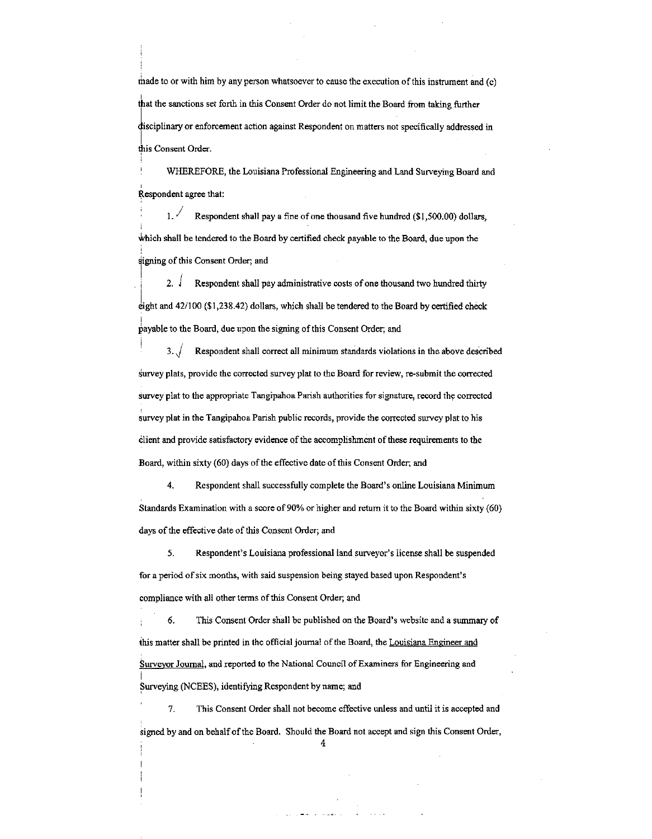made to or with him by any person whatsoever to cause the execution of this instrument and  $(c)$ that the sanctions set forth in this Consent Order do not limit the Board from taking further disciplinary or enforcement action against Respondent on matters not specifically addressed in this Consent Order.

WHEREFORE, the Louisiana Professional Engineering and Land Surveying Board· and ' Respondent agree that:

1.  $\sqrt{\phantom{a}}$  Respondent shall pay a fine of one thousand five hundred (\$1,500.00) dollars, Which shall be tendered to the Board by certified check payable to the Board, due upon the signing of this Consent Order; and I

2.  $\sqrt{ }$  Respondent shall pay administrative costs of one thousand two hundred thirty i eight and  $42/100$  (\$1,238.42) dollars, which shall be tendered to the Board by certified check |<br>payable to the Board, due upon the signing of this Consent Order; and

3. J Respondent shall correct all minimum standards violations in the above described Survey plats, provide the corrected survey plat to the Board for review, re-submit the corrected Survey plat to the appropriate Tangipahoa Parish authorities for signature, record the corrected survey plat in the Tangipahoa Parish public records, provide the corrected survey plat to his client and provide satisfactory evidence of the accomplishment of these requirements to the Board, within sixty (60) days of the effective date of this Consent Order; and

4. Respondent shall successfully complete the Board's online Louisiana Minimum Standards Examination with a score of 90% or higher and return it to the Board within sixty (60) days of the effective date of this Consent Order; and

*5.* Respondent's Louisiana professional land surveyor's license shall be suspended for a period of six months, with said suspension being stayed based upon Respondent's compliance with all other terms of this Consent Order; and

6. This Consent Order shall be published on the Board's website and a summary of this matter shall be printed in the official journal of the Board, the Louisiana Engineer and Surveyor Journal, and reported to the National Council of Examiners for Engineering and I Surveying (NCEES), identifying Respondent by name; and

7. This Consent Order shall not become effective unless and until it is accepted and signed by and on behalf of the Board. Should the Board not accept and sign this Consent Order,

4